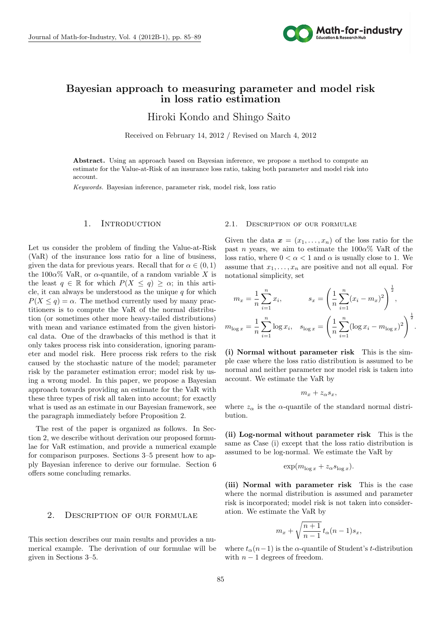

# **Bayesian approach to measuring parameter and model risk in loss ratio estimation**

D A E SE F E SE F E SE F E SE F E SE F E SE F E SE F E SE F E SE F E SE F E SE F E SE F E SE F E SE F E SE F E Hiroki Kondo and Shingo Saito

Received on February 14, 2012 / Revised on March 4, 2012

Abstract. Using an approach based on Bayesian inference, we propose a method to compute an estimate for the Value-at-Risk of an insurance loss ratio, taking both parameter and model risk into account.

*Keywords.* Bayesian inference, parameter risk, model risk, loss ratio

### 1. INTRODUCTION

Let us consider the problem of finding the Value-at-Risk (VaR) of the insurance loss ratio for a line of business, given the data for previous years. Recall that for  $\alpha \in (0, 1)$ the  $100\alpha\%$  VaR, or  $\alpha$ -quantile, of a random variable X is the least  $q \in \mathbb{R}$  for which  $P(X \le q) \ge \alpha$ ; in this article, it can always be understood as the unique  $q$  for which  $P(X \leq q) = \alpha$ . The method currently used by many practitioners is to compute the VaR of the normal distribution (or sometimes other more heavy-tailed distributions) with mean and variance estimated from the given historical data. One of the drawbacks of this method is that it only takes process risk into consideration, ignoring parameter and model risk. Here process risk refers to the risk caused by the stochastic nature of the model; parameter risk by the parameter estimation error; model risk by using a wrong model. In this paper, we propose a Bayesian approach towards providing an estimate for the VaR with these three types of risk all taken into account; for exactly what is used as an estimate in our Bayesian framework, see the paragraph immediately before Proposition 2.

The rest of the paper is organized as follows. In Section 2, we describe without derivation our proposed formulae for VaR estimation, and provide a numerical example for comparison purposes. Sections 3–5 present how to apply Bayesian inference to derive our formulae. Section 6 offers some concluding remarks.

### 2. Description of our formulae

This section describes our main results and provides a numerical example. The derivation of our formulae will be given in Sections 3–5.

### 2.1. Description of our formulae

Given the data  $\mathbf{x} = (x_1, \ldots, x_n)$  of the loss ratio for the past *n* years, we aim to estimate the  $100\alpha\%$  VaR of the loss ratio, where  $0 < \alpha < 1$  and  $\alpha$  is usually close to 1. We assume that  $x_1, \ldots, x_n$  are positive and not all equal. For notational simplicity, set

$$
m_x = \frac{1}{n} \sum_{i=1}^n x_i, \qquad s_x = \left(\frac{1}{n} \sum_{i=1}^n (x_i - m_x)^2\right)^{\frac{1}{2}},
$$

$$
m_{\log x} = \frac{1}{n} \sum_{i=1}^n \log x_i, \quad s_{\log x} = \left(\frac{1}{n} \sum_{i=1}^n (\log x_i - m_{\log x})^2\right)^{\frac{1}{2}}.
$$

**(i) Normal without parameter risk** This is the simple case where the loss ratio distribution is assumed to be normal and neither parameter nor model risk is taken into account. We estimate the VaR by

$$
m_x+z_{\alpha}s_x,
$$

where  $z_{\alpha}$  is the *α*-quantile of the standard normal distribution.

**(ii) Log-normal without parameter risk** This is the same as Case (i) except that the loss ratio distribution is assumed to be log-normal. We estimate the VaR by

$$
\exp(m_{\log x} + z_{\alpha} s_{\log x}).
$$

**(iii) Normal with parameter risk** This is the case where the normal distribution is assumed and parameter risk is incorporated; model risk is not taken into consideration. We estimate the VaR by

$$
m_x + \sqrt{\frac{n+1}{n-1}} t_\alpha (n-1) s_x,
$$

where  $t_{\alpha}(n-1)$  is the  $\alpha$ -quantile of Student's *t*-distribution with  $n-1$  degrees of freedom.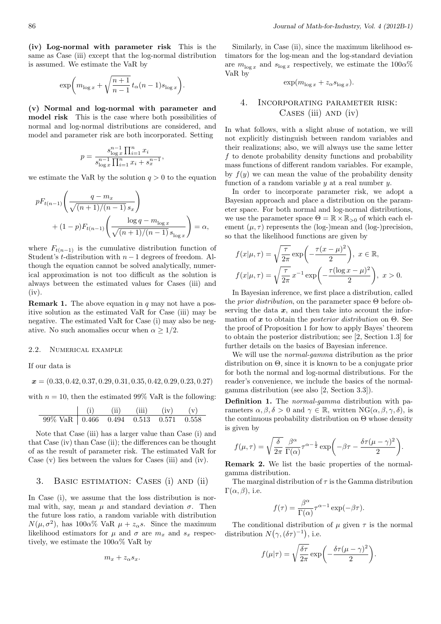**(iv) Log-normal with parameter risk** This is the same as Case (iii) except that the log-normal distribution is assumed. We estimate the VaR by

$$
\exp\biggl(m_{\log x}+\sqrt{\frac{n+1}{n-1}}\,t_\alpha(n-1)s_{\log x}\biggr).
$$

**(v) Normal and log-normal with parameter and model risk** This is the case where both possibilities of normal and log-normal distributions are considered, and model and parameter risk are both incorporated. Setting

$$
p = \frac{s_{\log x}^{n-1} \prod_{i=1}^{n} x_i}{s_{\log x}^{n-1} \prod_{i=1}^{n} x_i + s_x^{n-1}},
$$

we estimate the VaR by the solution  $q > 0$  to the equation

$$
pF_{t(n-1)}\left(\frac{q-m_x}{\sqrt{(n+1)/(n-1)} s_x}\right) + (1-p)F_{t(n-1)}\left(\frac{\log q - m_{\log x}}{\sqrt{(n+1)/(n-1)} s_{\log x}}\right) = \alpha,
$$

where  $F_{t(n-1)}$  is the cumulative distribution function of Student's *t*-distribution with *n −* 1 degrees of freedom. Although the equation cannot be solved analytically, numerical approximation is not too difficult as the solution is always between the estimated values for Cases (iii) and (iv).

**Remark 1.** The above equation in *q* may not have a positive solution as the estimated VaR for Case (iii) may be negative. The estimated VaR for Case (i) may also be negative. No such anomalies occur when  $\alpha > 1/2$ .

#### 2.2. Numerical example

If our data is

 $\overline{a}$ 

*x* = (0*.*33*,* 0*.*42*,* 0*.*37*,* 0*.*29*,* 0*.*31*,* 0*.*35*,* 0*.*42*,* 0*.*29*,* 0*.*23*,* 0*.*27)

with  $n = 10$ , then the estimated 99% VaR is the following:

$$
\begin{array}{c|cc}\n\text{(i)} & \text{(ii)} & \text{(iii)} & \text{(iv)} & \text{(v)} \\
\hline\n99\% \text{ VaR} & 0.466 & 0.494 & 0.513 & 0.571 & 0.558\n\end{array}
$$

Note that Case (iii) has a larger value than Case (i) and that Case (iv) than Case (ii); the differences can be thought of as the result of parameter risk. The estimated VaR for Case (v) lies between the values for Cases (iii) and (iv).

### 3. Basic estimation: Cases (i) and (ii)

In Case (i), we assume that the loss distribution is normal with, say, mean  $\mu$  and standard deviation  $\sigma$ . Then the future loss ratio, a random variable with distribution *N*( $\mu$ ,  $\sigma^2$ ), has 100*α*% VaR  $\mu + z_\alpha s$ . Since the maximum likelihood estimators for  $\mu$  and  $\sigma$  are  $m_x$  and  $s_x$  respectively, we estimate the 100*α*% VaR by

$$
m_x+z_{\alpha}s_x.
$$

Similarly, in Case (ii), since the maximum likelihood estimators for the log-mean and the log-standard deviation are  $m_{\log x}$  and  $s_{\log x}$  respectively, we estimate the  $100\alpha\%$ VaR by

$$
\exp(m_{\log x} + z_{\alpha} s_{\log x}).
$$

## 4. Incorporating parameter risk: Cases (iii) and (iv)

In what follows, with a slight abuse of notation, we will not explicitly distinguish between random variables and their realizations; also, we will always use the same letter *f* to denote probability density functions and probability mass functions of different random variables. For example, by  $f(y)$  we can mean the value of the probability density function of a random variable *y* at a real number *y*.

In order to incorporate parameter risk, we adopt a Bayesian approach and place a distribution on the parameter space. For both normal and log-normal distributions, we use the parameter space  $\Theta = \mathbb{R} \times \mathbb{R}_{>0}$  of which each element  $(\mu, \tau)$  represents the (log-)mean and (log-)precision, so that the likelihood functions are given by

$$
f(x|\mu,\tau) = \sqrt{\frac{\tau}{2\pi}} \exp\left(-\frac{\tau(x-\mu)^2}{2}\right), \ x \in \mathbb{R},
$$

$$
f(x|\mu,\tau) = \sqrt{\frac{\tau}{2\pi}} \, x^{-1} \exp\left(-\frac{\tau(\log x - \mu)^2}{2}\right), \ x > 0.
$$

In Bayesian inference, we first place a distribution, called the *prior distribution*, on the parameter space Θ before observing the data  $x$ , and then take into account the information of *x* to obtain the *posterior distribution* on Θ. See the proof of Proposition 1 for how to apply Bayes' theorem to obtain the posterior distribution; see [2, Section 1.3] for further details on the basics of Bayesian inference.

We will use the *normal-gamma* distribution as the prior distribution on Θ, since it is known to be a conjugate prior for both the normal and log-normal distributions. For the reader's convenience, we include the basics of the normalgamma distribution (see also [2, Section 3.3]).

**Definition 1.** The *normal-gamma* distribution with parameters  $\alpha, \beta, \delta > 0$  and  $\gamma \in \mathbb{R}$ , written NG( $\alpha, \beta, \gamma, \delta$ ), is the continuous probability distribution on Θ whose density is given by

$$
f(\mu,\tau) = \sqrt{\frac{\delta}{2\pi}} \frac{\beta^{\alpha}}{\Gamma(\alpha)} \tau^{\alpha - \frac{1}{2}} \exp\left(-\beta\tau - \frac{\delta\tau(\mu - \gamma)^2}{2}\right).
$$

**Remark 2.** We list the basic properties of the normalgamma distribution.

The marginal distribution of *τ* is the Gamma distribution  $\Gamma(\alpha, \beta)$ , i.e.

$$
f(\tau) = \frac{\beta^{\alpha}}{\Gamma(\alpha)} \tau^{\alpha - 1} \exp(-\beta \tau).
$$

The conditional distribution of  $\mu$  given  $\tau$  is the normal distribution  $N(\gamma, (\delta \tau)^{-1})$ , i.e.

$$
f(\mu|\tau) = \sqrt{\frac{\delta\tau}{2\pi}} \exp\bigg(-\frac{\delta\tau(\mu-\gamma)^2}{2}\bigg).
$$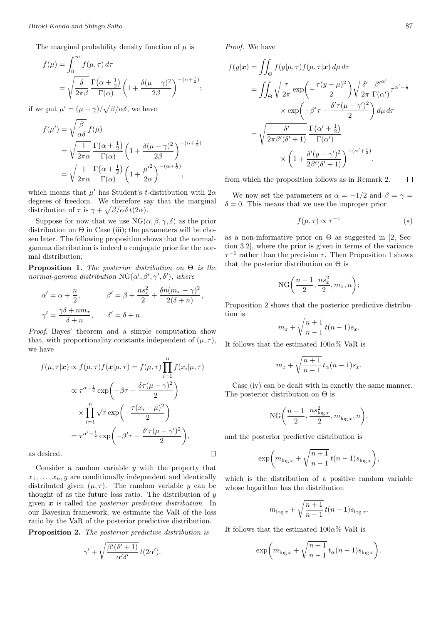The marginal probability density function of  $\mu$  is

$$
f(\mu) = \int_0^\infty f(\mu, \tau) d\tau
$$
  
=  $\sqrt{\frac{\delta}{2\pi\beta}} \frac{\Gamma(\alpha + \frac{1}{2})}{\Gamma(\alpha)} \left(1 + \frac{\delta(\mu - \gamma)^2}{2\beta}\right)^{-(\alpha + \frac{1}{2})};$ 

if we put  $\mu' = (\mu - \gamma)/\sqrt{\beta/\alpha\delta}$ , we have

$$
f(\mu') = \sqrt{\frac{\beta}{\alpha \delta}} f(\mu)
$$
  
=  $\sqrt{\frac{1}{2\pi \alpha}} \frac{\Gamma(\alpha + \frac{1}{2})}{\Gamma(\alpha)} \left(1 + \frac{\delta(\mu - \gamma)^2}{2\beta}\right)^{-(\alpha + \frac{1}{2})}$   
=  $\sqrt{\frac{1}{2\pi \alpha}} \frac{\Gamma(\alpha + \frac{1}{2})}{\Gamma(\alpha)} \left(1 + \frac{\mu'^2}{2\alpha}\right)^{-(\alpha + \frac{1}{2})},$ 

which means that  $\mu'$  has Student's *t*-distribution with  $2\alpha$ degrees of freedom. We therefore say that the marginal distribution of  $\tau$  is  $\gamma + \sqrt{\beta/\alpha\delta} t(2\alpha)$ .

Suppose for now that we use  $NG(\alpha, \beta, \gamma, \delta)$  as the prior distribution on  $\Theta$  in Case (iii); the parameters will be chosen later. The following proposition shows that the normalgamma distribution is indeed a conjugate prior for the normal distribution:

**Proposition 1.** *The posterior distribution on* Θ *is the normal-gamma distribution*  $NG(\alpha', \beta', \gamma', \delta')$ *, where* 

$$
\alpha' = \alpha + \frac{n}{2}, \qquad \beta' = \beta + \frac{ns_x^2}{2} + \frac{\delta n (m_x - \gamma)^2}{2(\delta + n)}
$$

$$
\gamma' = \frac{\gamma \delta + nm_x}{\delta + n}, \qquad \delta' = \delta + n.
$$

*,*

 $\Box$ 

*Proof.* Bayes' theorem and a simple computation show that, with proportionality constants independent of  $(\mu, \tau)$ , we have

$$
f(\mu, \tau | \mathbf{x}) \propto f(\mu, \tau) f(\mathbf{x} | \mu, \tau) = f(\mu, \tau) \prod_{i=1}^{n} f(x_i | \mu, \tau)
$$

$$
\propto \tau^{\alpha - \frac{1}{2}} \exp\left(-\beta \tau - \frac{\delta \tau (\mu - \gamma)^2}{2}\right)
$$

$$
\times \prod_{i=1}^{n} \sqrt{\tau} \exp\left(-\frac{\tau (x_i - \mu)^2}{2}\right)
$$

$$
= \tau^{\alpha' - \frac{1}{2}} \exp\left(-\beta' \tau - \frac{\delta' \tau (\mu - \gamma')^2}{2}\right),
$$

as desired.

Consider a random variable *y* with the property that  $x_1, \ldots, x_n, y$  are conditionally independent and identically distributed given  $(\mu, \tau)$ . The random variable *y* can be thought of as the future loss ratio. The distribution of *y* given *x* is called the *posterior predictive distribution*. In our Bayesian framework, we estimate the VaR of the loss ratio by the VaR of the posterior predictive distribution.

**Proposition 2.** *The posterior predictive distribution is*

$$
\gamma' + \sqrt{\frac{\beta'(\delta' + 1)}{\alpha' \delta'}} \, t(2\alpha').
$$

*Proof.* We have

$$
f(y|\mathbf{x}) = \iint_{\Theta} f(y|\mu, \tau) f(\mu, \tau|\mathbf{x}) d\mu d\tau
$$
  
= 
$$
\iint_{\Theta} \sqrt{\frac{\tau}{2\pi}} \exp\left(-\frac{\tau(y-\mu)^2}{2}\right) \sqrt{\frac{\delta'}{2\pi}} \frac{\beta'^{\alpha'}}{\Gamma(\alpha')} \tau^{\alpha' - \frac{1}{2}}
$$
  

$$
\times \exp\left(-\beta'\tau - \frac{\delta'\tau(\mu - \gamma')^2}{2}\right) d\mu d\tau
$$
  
= 
$$
\sqrt{\frac{\delta'}{2\pi\beta'(\delta' + 1)}} \frac{\Gamma(\alpha' + \frac{1}{2})}{\Gamma(\alpha')}
$$
  

$$
\times \left(1 + \frac{\delta'(y - \gamma')^2}{2\beta'(\delta' + 1)}\right)^{-(\alpha' + \frac{1}{2})},
$$

from which the proposition follows as in Remark 2.  $\Box$ 

We now set the parameters as  $\alpha = -1/2$  and  $\beta = \gamma =$  $\delta = 0$ . This means that we use the improper prior

$$
f(\mu, \tau) \propto \tau^{-1} \tag{*}
$$

as a non-informative prior on  $\Theta$  as suggested in [2, Section 3.2], where the prior is given in terms of the variance  $\tau^{-1}$  rather than the precision  $\tau$ . Then Proposition 1 shows that the posterior distribution on  $\Theta$  is

$$
NG\bigg(\frac{n-1}{2},\frac{ns_x^2}{2},m_x,n\bigg);
$$

Proposition 2 shows that the posterior predictive distribution is

$$
m_x + \sqrt{\frac{n+1}{n-1}} t(n-1)s_x.
$$

It follows that the estimated 100*α*% VaR is

$$
m_x + \sqrt{\frac{n+1}{n-1}} t_\alpha (n-1) s_x.
$$

Case (iv) can be dealt with in exactly the same manner. The posterior distribution on  $\Theta$  is

$$
NG\bigg(\frac{n-1}{2},\frac{ns_{\log x}^2}{2},m_{\log x},n\bigg),\,
$$

and the posterior predictive distribution is

$$
\exp\biggl(m_{\log x}+\sqrt{\frac{n+1}{n-1}}\,t(n-1)s_{\log x}\biggr),
$$

which is the distribution of a positive random variable whose logarithm has the distribution

$$
m_{\log x} + \sqrt{\frac{n+1}{n-1}} \, t(n-1) s_{\log x}.
$$

It follows that the estimated 100*α*% VaR is

$$
\exp\bigg(m_{\log x} + \sqrt{\frac{n+1}{n-1}}\,t_\alpha(n-1)s_{\log x}\bigg).
$$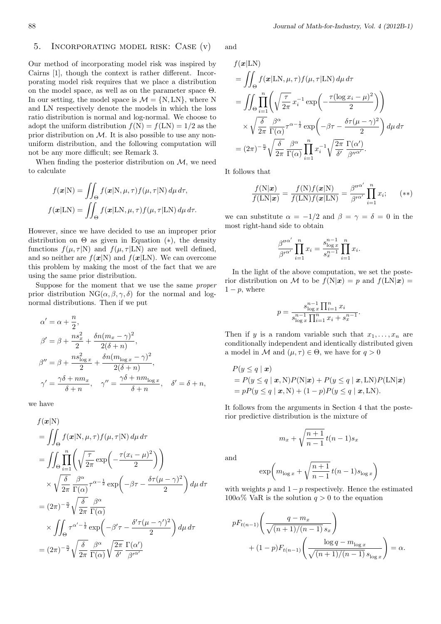## 5. Incorporating model risk: Case (v)

Our method of incorporating model risk was inspired by Cairns [1], though the context is rather different. Incorporating model risk requires that we place a distribution on the model space, as well as on the parameter space  $\Theta$ . In our setting, the model space is  $\mathcal{M} = \{N, LN\}$ , where N and LN respectively denote the models in which the loss ratio distribution is normal and log-normal. We choose to adopt the uniform distribution  $f(N) = f(LN) = 1/2$  as the prior distribution on  $M$ . It is also possible to use any nonuniform distribution, and the following computation will not be any more difficult; see Remark 3.

When finding the posterior distribution on *M*, we need to calculate

$$
f(\mathbf{x}|N) = \iint_{\Theta} f(\mathbf{x}|N, \mu, \tau) f(\mu, \tau|N) d\mu d\tau,
$$

$$
f(\mathbf{x}|LN) = \iint_{\Theta} f(\mathbf{x}|LN, \mu, \tau) f(\mu, \tau|LN) d\mu d\tau.
$$

However, since we have decided to use an improper prior distribution on Θ as given in Equation (*∗*), the density functions  $f(\mu, \tau | N)$  and  $f(\mu, \tau | LN)$  are not well defined, and so neither are  $f(x|N)$  and  $f(x|LN)$ . We can overcome this problem by making the most of the fact that we are using the same prior distribution.

Suppose for the moment that we use the same *proper* prior distribution  $NG(\alpha, \beta, \gamma, \delta)$  for the normal and lognormal distributions. Then if we put

$$
\alpha' = \alpha + \frac{n}{2},
$$
  
\n
$$
\beta' = \beta + \frac{ns_x^2}{2} + \frac{\delta n(m_x - \gamma)^2}{2(\delta + n)},
$$
  
\n
$$
\beta'' = \beta + \frac{ns_{\log x}^2}{2} + \frac{\delta n(m_{\log x} - \gamma)^2}{2(\delta + n)},
$$
  
\n
$$
\gamma' = \frac{\gamma \delta + nm_x}{\delta + n}, \quad \gamma'' = \frac{\gamma \delta + nm_{\log x}}{\delta + n}, \quad \delta' = \delta + n,
$$

we have

$$
f(\mathbf{x}|\mathbf{N})
$$
  
\n
$$
= \iint_{\Theta} f(\mathbf{x}|\mathbf{N}, \mu, \tau) f(\mu, \tau|\mathbf{N}) d\mu d\tau
$$
  
\n
$$
= \iint_{\Theta} \prod_{i=1}^{n} \left( \sqrt{\frac{\tau}{2\pi}} \exp\left( -\frac{\tau(x_i - \mu)^2}{2} \right) \right)
$$
  
\n
$$
\times \sqrt{\frac{\delta}{2\pi}} \frac{\beta^{\alpha}}{\Gamma(\alpha)} \tau^{\alpha - \frac{1}{2}} \exp\left( -\beta\tau - \frac{\delta\tau(\mu - \gamma)^2}{2} \right) d\mu d\tau
$$
  
\n
$$
= (2\pi)^{-\frac{n}{2}} \sqrt{\frac{\delta}{2\pi}} \frac{\beta^{\alpha}}{\Gamma(\alpha)}
$$
  
\n
$$
\times \iint_{\Theta} \tau^{\alpha' - \frac{1}{2}} \exp\left( -\beta'\tau - \frac{\delta'\tau(\mu - \gamma')^2}{2} \right) d\mu d\tau
$$
  
\n
$$
= (2\pi)^{-\frac{n}{2}} \sqrt{\frac{\delta}{2\pi}} \frac{\beta^{\alpha}}{\Gamma(\alpha)} \sqrt{\frac{2\pi}{\delta'} \frac{\Gamma(\alpha')}{\beta'^{\alpha'}}}
$$

and

$$
f(\mathbf{x}|\mathbf{LN})
$$
  
= 
$$
\iint_{\Theta} f(\mathbf{x}|\mathbf{LN}, \mu, \tau) f(\mu, \tau|\mathbf{LN}) d\mu d\tau
$$
  
= 
$$
\iint_{\Theta} \prod_{i=1}^{n} \left( \sqrt{\frac{\tau}{2\pi}} x_i^{-1} \exp\left(-\frac{\tau(\log x_i - \mu)^2}{2}\right) \right)
$$
  

$$
\times \sqrt{\frac{\delta}{2\pi}} \frac{\beta^{\alpha}}{\Gamma(\alpha)} \tau^{\alpha - \frac{1}{2}} \exp\left(-\beta \tau - \frac{\delta \tau(\mu - \gamma)^2}{2}\right) d\mu d\tau
$$
  
= 
$$
(2\pi)^{-\frac{n}{2}} \sqrt{\frac{\delta}{2\pi}} \frac{\beta^{\alpha}}{\Gamma(\alpha)} \prod_{i=1}^{n} x_i^{-1} \sqrt{\frac{2\pi}{\delta'}} \frac{\Gamma(\alpha')}{\beta''^{\alpha'}}.
$$

It follows that

$$
\frac{f(N|\mathbf{x})}{f(LN|\mathbf{x})} = \frac{f(N)f(\mathbf{x}|N)}{f(LN)f(\mathbf{x}|LN)} = \frac{\beta^{\prime\prime\alpha'}}{\beta^{\prime\alpha'}} \prod_{i=1}^{n} x_i; \qquad (**)
$$

we can substitute  $\alpha = -1/2$  and  $\beta = \gamma = \delta = 0$  in the most right-hand side to obtain

$$
\frac{\beta^{\prime\prime\alpha'}}{\beta^{\prime\alpha'}} \prod_{i=1}^n x_i = \frac{s_{\log x}^{n-1}}{s_x^{n-1}} \prod_{i=1}^n x_i.
$$

In the light of the above computation, we set the posterior distribution on *M* to be  $f(N|x) = p$  and  $f(LN|x) =$  $1 - p$ , where

$$
p = \frac{s_{\log x}^{n-1} \prod_{i=1}^{n} x_i}{s_{\log x}^{n-1} \prod_{i=1}^{n} x_i + s_x^{n-1}}
$$

*.*

Then if *y* is a random variable such that  $x_1, \ldots, x_n$  are conditionally independent and identically distributed given a model in *M* and  $(\mu, \tau) \in \Theta$ , we have for  $q > 0$ 

$$
P(y \le q \mid \mathbf{x})
$$
  
=  $P(y \le q \mid \mathbf{x}, N)P(N|\mathbf{x}) + P(y \le q \mid \mathbf{x}, LN)P(LN|\mathbf{x})$   
=  $pP(y \le q \mid \mathbf{x}, N) + (1 - p)P(y \le q \mid \mathbf{x}, LN).$ 

It follows from the arguments in Section 4 that the posterior predictive distribution is the mixture of

$$
m_x + \sqrt{\frac{n+1}{n-1}}t(n-1)s_x
$$

and

$$
\exp\biggl(m_{\log x}+\sqrt{\frac{n+1}{n-1}}\,t(n-1)s_{\log x}\biggr)
$$

with weights *p* and 1*−p* respectively. Hence the estimated  $100\alpha\%$  VaR is the solution  $q > 0$  to the equation

$$
pF_{t(n-1)}\left(\frac{q-m_x}{\sqrt{(n+1)/(n-1)} s_x}\right) + (1-p)F_{t(n-1)}\left(\frac{\log q - m_{\log x}}{\sqrt{(n+1)/(n-1)} s_{\log x}}\right) = \alpha.
$$